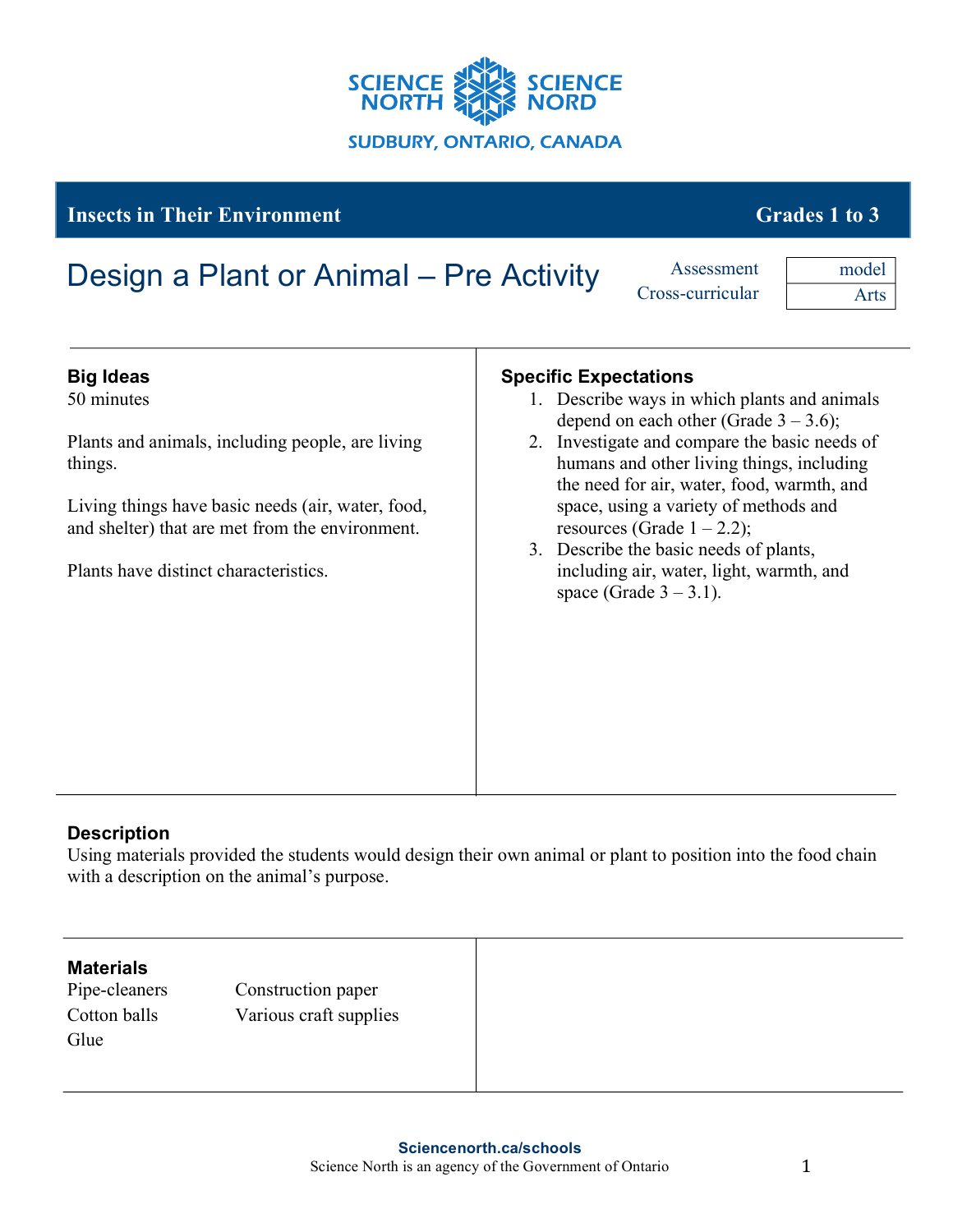

## **Insects in Their Environment** Grades 1 to 3

# Design a Plant or Animal – Pre Activity Assessment

Cross-curricular

model Arts

| <b>Big Ideas</b>                                                                                     | <b>Specific Expectations</b>                                                                                                             |
|------------------------------------------------------------------------------------------------------|------------------------------------------------------------------------------------------------------------------------------------------|
| 50 minutes                                                                                           | 1. Describe ways in which plants and animals<br>depend on each other (Grade $3 - 3.6$ );                                                 |
| Plants and animals, including people, are living<br>things.                                          | 2. Investigate and compare the basic needs of<br>humans and other living things, including<br>the need for air, water, food, warmth, and |
| Living things have basic needs (air, water, food,<br>and shelter) that are met from the environment. | space, using a variety of methods and<br>resources (Grade $1 - 2.2$ );                                                                   |
| Plants have distinct characteristics.                                                                | 3. Describe the basic needs of plants,<br>including air, water, light, warmth, and<br>space (Grade $3-3.1$ ).                            |
|                                                                                                      |                                                                                                                                          |
|                                                                                                      |                                                                                                                                          |
|                                                                                                      |                                                                                                                                          |

### **Description**

Using materials provided the students would design their own animal or plant to position into the food chain with a description on the animal's purpose.

#### **Materials**

Glue

Pipe-cleaners Construction paper Cotton balls Various craft supplies